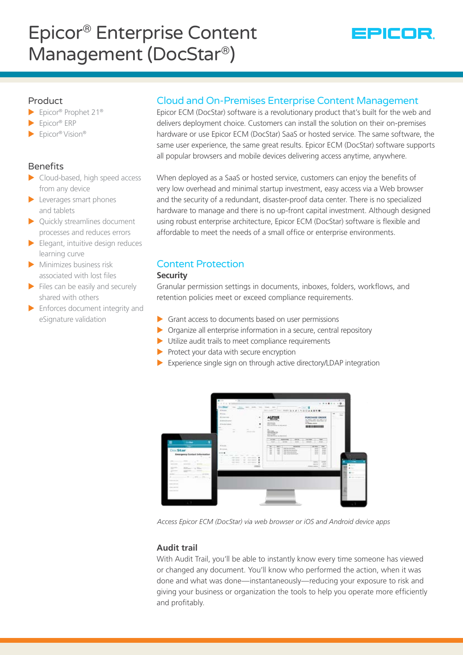# Epicor® Enterprise Content Management (DocStar®)



## Product

- $\blacktriangleright$  Epicor® Prophet 21®
- $\blacktriangleright$  Epicor® ERP
- $\blacktriangleright$  Epicor® Vision®

# Benefits

- $\blacktriangleright$  Cloud-based, high speed access from any device
- $\blacktriangleright$  Leverages smart phones and tablets
- $\blacktriangleright$  Quickly streamlines document processes and reduces errors
- $\blacktriangleright$  Elegant, intuitive design reduces learning curve
- $\blacktriangleright$  Minimizes business risk associated with lost files
- $\blacktriangleright$  Files can be easily and securely shared with others
- $\blacktriangleright$  Enforces document integrity and eSignature validation

# Cloud and On-Premises Enterprise Content Management

Epicor ECM (DocStar) software is a revolutionary product that's built for the web and delivers deployment choice. Customers can install the solution on their on-premises hardware or use Epicor ECM (DocStar) SaaS or hosted service. The same software, the same user experience, the same great results. Epicor ECM (DocStar) software supports all popular browsers and mobile devices delivering access anytime, anywhere.

When deployed as a SaaS or hosted service, customers can enjoy the benefits of very low overhead and minimal startup investment, easy access via a Web browser and the security of a redundant, disaster-proof data center. There is no specialized hardware to manage and there is no up-front capital investment. Although designed using robust enterprise architecture, Epicor ECM (DocStar) software is flexible and affordable to meet the needs of a small office or enterprise environments.

# Content Protection

#### **Security**

Granular permission settings in documents, inboxes, folders, workflows, and retention policies meet or exceed compliance requirements.

- $\triangleright$  Grant access to documents based on user permissions
- $\triangleright$  Organize all enterprise information in a secure, central repository
- $\blacktriangleright$  Utilize audit trails to meet compliance requirements
- $\blacktriangleright$  Protect your data with secure encryption
- Experience single sign on through active directory/LDAP integration



*Access Epicor ECM (DocStar) via web browser or iOS and Android device apps*

# **Audit trail**

With Audit Trail, you'll be able to instantly know every time someone has viewed or changed any document. You'll know who performed the action, when it was done and what was done—instantaneously—reducing your exposure to risk and giving your business or organization the tools to help you operate more efficiently and profitably.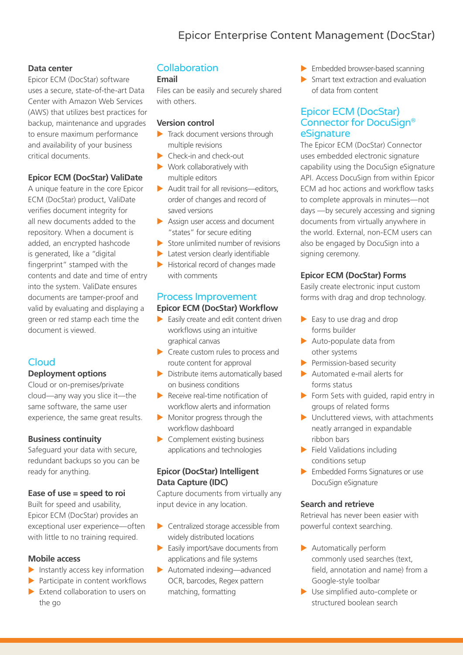# Epicor Enterprise Content Management (DocStar)

# **Data center**

Epicor ECM (DocStar) software uses a secure, state-of-the-art Data Center with Amazon Web Services (AWS) that utilizes best practices for backup, maintenance and upgrades to ensure maximum performance and availability of your business critical documents.

#### **Epicor ECM (DocStar) ValiDate**

A unique feature in the core Epicor ECM (DocStar) product, ValiDate verifies document integrity for all new documents added to the repository. When a document is added, an encrypted hashcode is generated, like a "digital fingerprint" stamped with the contents and date and time of entry into the system. ValiDate ensures documents are tamper-proof and valid by evaluating and displaying a green or red stamp each time the document is viewed.

# **Cloud**

# **Deployment options**

Cloud or on-premises/private cloud—any way you slice it—the same software, the same user experience, the same great results.

# **Business continuity**

Safeguard your data with secure, redundant backups so you can be ready for anything.

#### **Ease of use = speed to roi**

Built for speed and usability, Epicor ECM (DocStar) provides an exceptional user experience—often with little to no training required.

#### **Mobile access**

- $\blacktriangleright$  Instantly access key information
- $\blacktriangleright$  Participate in content workflows
- $\blacktriangleright$  Extend collaboration to users on the go

# **Collaboration**

#### **Email**

Files can be easily and securely shared with others.

#### **Version control**

- $\blacktriangleright$  Track document versions through multiple revisions
- $\blacktriangleright$  Check-in and check-out
- $\blacktriangleright$  Work collaboratively with multiple editors
- $\blacktriangleright$  Audit trail for all revisions—editors, order of changes and record of saved versions
- $\blacktriangleright$  Assign user access and document "states" for secure editing
- $\triangleright$  Store unlimited number of revisions
- $\blacktriangleright$  Latest version clearly identifiable
- $\blacktriangleright$  Historical record of changes made with comments

#### Process Improvement **Epicor ECM (DocStar) Workflow**

- $\blacktriangleright$  Easily create and edit content driven workflows using an intuitive graphical canvas
- $\triangleright$  Create custom rules to process and route content for approval
- $\triangleright$  Distribute items automatically based on business conditions
- $\blacktriangleright$  Receive real-time notification of workflow alerts and information
- $\blacktriangleright$  Monitor progress through the workflow dashboard
- $\blacktriangleright$  Complement existing business applications and technologies

# **Epicor (DocStar) Intelligent Data Capture (IDC)**

Capture documents from virtually any input device in any location.

- $\blacktriangleright$  Centralized storage accessible from widely distributed locations
- $\blacktriangleright$  Easily import/save documents from applications and file systems
- $\blacktriangleright$  Automated indexing—advanced OCR, barcodes, Regex pattern matching, formatting
- $\blacktriangleright$  Embedded browser-based scanning
- $\blacktriangleright$  Smart text extraction and evaluation of data from content

# Epicor ECM (DocStar) Connector for DocuSign® eSignature

The Epicor ECM (DocStar) Connector uses embedded electronic signature capability using the DocuSign eSignature API. Access DocuSign from within Epicor ECM ad hoc actions and workflow tasks to complete approvals in minutes—not days —by securely accessing and signing documents from virtually anywhere in the world. External, non-ECM users can also be engaged by DocuSign into a signing ceremony.

# **Epicor ECM (DocStar) Forms**

Easily create electronic input custom forms with drag and drop technology.

- $\blacktriangleright$  Easy to use drag and drop forms builder
- $\blacktriangleright$  Auto-populate data from other systems
- $\blacktriangleright$  Permission-based security
- $\blacktriangleright$  Automated e-mail alerts for forms status
- $\triangleright$  Form Sets with guided, rapid entry in groups of related forms
- $\blacktriangleright$  Uncluttered views, with attachments neatly arranged in expandable ribbon bars
- $\blacktriangleright$  Field Validations including conditions setup
- $\blacktriangleright$  Embedded Forms Signatures or use DocuSign eSignature

#### **Search and retrieve**

Retrieval has never been easier with powerful context searching.

- $\blacktriangleright$  Automatically perform commonly used searches (text, field, annotation and name) from a Google-style toolbar
- $\blacktriangleright$  Use simplified auto-complete or structured boolean search